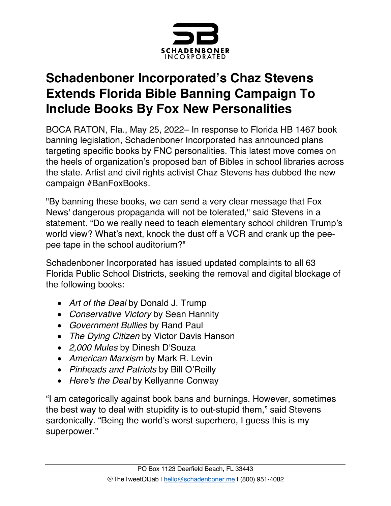

## **Schadenboner Incorporated's Chaz Stevens Extends Florida Bible Banning Campaign To Include Books By Fox New Personalities**

BOCA RATON, Fla., May 25, 2022– In response to Florida HB 1467 book banning legislation, Schadenboner Incorporated has announced plans targeting specific books by FNC personalities. This latest move comes on the heels of organization's proposed ban of Bibles in school libraries across the state. Artist and civil rights activist Chaz Stevens has dubbed the new campaign #BanFoxBooks.

"By banning these books, we can send a very clear message that Fox News' dangerous propaganda will not be tolerated," said Stevens in a statement. "Do we really need to teach elementary school children Trump's world view? What's next, knock the dust off a VCR and crank up the peepee tape in the school auditorium?"

Schadenboner Incorporated has issued updated complaints to all 63 Florida Public School Districts, seeking the removal and digital blockage of the following books:

- *Art of the Deal* by Donald J. Trump
- *Conservative Victory* by Sean Hannity
- *Government Bullies* by Rand Paul
- *The Dying Citizen* by Victor Davis Hanson
- *2,000 Mules* by Dinesh D'Souza
- *American Marxism* by Mark R. Levin
- *Pinheads and Patriots* by Bill O'Reilly
- *Here's the Deal* by Kellyanne Conway

"I am categorically against book bans and burnings. However, sometimes the best way to deal with stupidity is to out-stupid them," said Stevens sardonically. "Being the world's worst superhero, I guess this is my superpower."